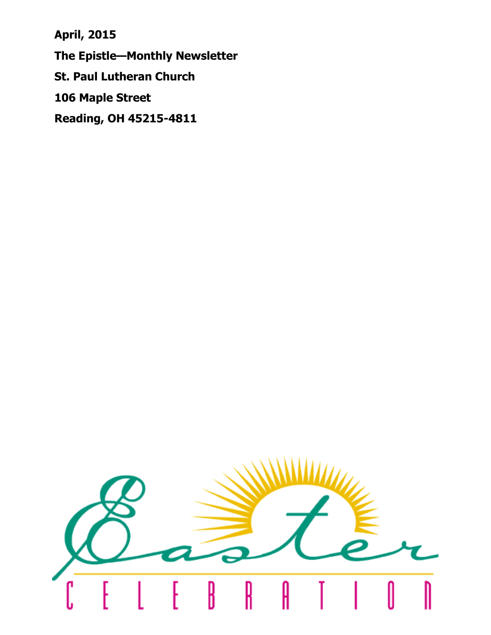**April, 2015 The Epistle—Monthly Newsletter St. Paul Lutheran Church 106 Maple Street Reading, OH 45215-4811**

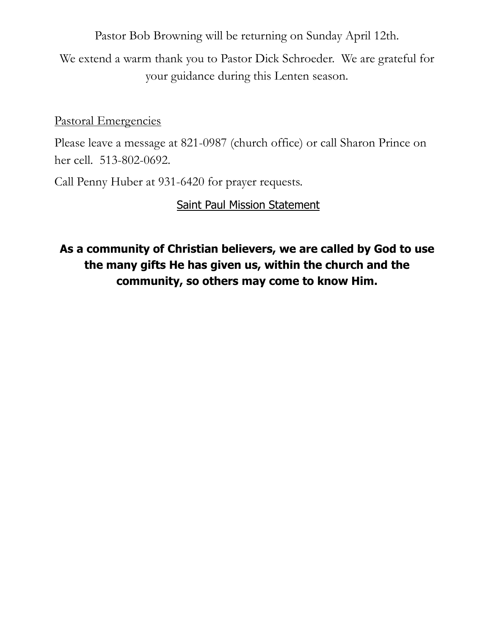Pastor Bob Browning will be returning on Sunday April 12th.

We extend a warm thank you to Pastor Dick Schroeder. We are grateful for your guidance during this Lenten season.

#### Pastoral Emergencies

Please leave a message at 821-0987 (church office) or call Sharon Prince on her cell. 513-802-0692.

Call Penny Huber at 931-6420 for prayer requests.

#### Saint Paul Mission Statement

### **As a community of Christian believers, we are called by God to use the many gifts He has given us, within the church and the community, so others may come to know Him.**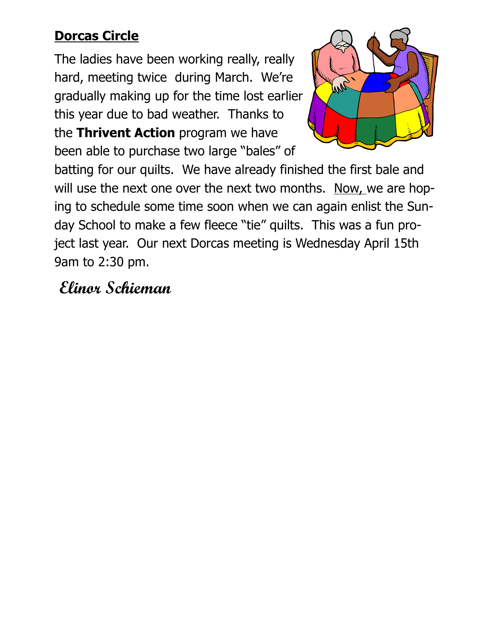## **Dorcas Circle**

The ladies have been working really, really hard, meeting twice during March. We're gradually making up for the time lost earlier this year due to bad weather. Thanks to the **Thrivent Action** program we have been able to purchase two large "bales" of



batting for our quilts. We have already finished the first bale and will use the next one over the next two months. Now, we are hoping to schedule some time soon when we can again enlist the Sunday School to make a few fleece "tie" quilts. This was a fun project last year. Our next Dorcas meeting is Wednesday April 15th 9am to 2:30 pm.

# **Elinor Schieman**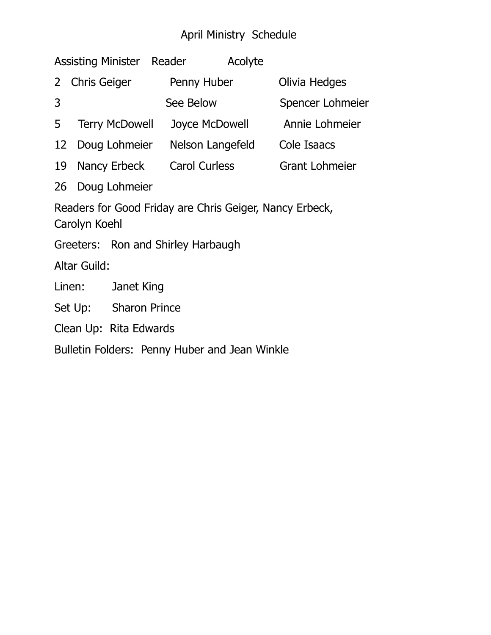## April Ministry Schedule

|                                                                          |                       |                                    | Assisting Minister Reader |                  | Acolyte |                       |  |  |
|--------------------------------------------------------------------------|-----------------------|------------------------------------|---------------------------|------------------|---------|-----------------------|--|--|
| Chris Geiger<br>$\mathbf{2}$                                             |                       |                                    |                           | Penny Huber      |         | Olivia Hedges         |  |  |
| 3                                                                        |                       |                                    |                           | See Below        |         | Spencer Lohmeier      |  |  |
| 5                                                                        | <b>Terry McDowell</b> |                                    |                           | Joyce McDowell   |         | Annie Lohmeier        |  |  |
|                                                                          |                       | 12 Doug Lohmeier                   |                           | Nelson Langefeld |         | Cole Isaacs           |  |  |
| 19                                                                       |                       | Nancy Erbeck Carol Curless         |                           |                  |         | <b>Grant Lohmeier</b> |  |  |
|                                                                          |                       | 26 Doug Lohmeier                   |                           |                  |         |                       |  |  |
| Readers for Good Friday are Chris Geiger, Nancy Erbeck,<br>Carolyn Koehl |                       |                                    |                           |                  |         |                       |  |  |
|                                                                          |                       | Greeters: Ron and Shirley Harbaugh |                           |                  |         |                       |  |  |
| Altar Guild:                                                             |                       |                                    |                           |                  |         |                       |  |  |
| Linen:                                                                   |                       | Janet King                         |                           |                  |         |                       |  |  |
|                                                                          |                       | Set Up: Sharon Prince              |                           |                  |         |                       |  |  |
|                                                                          |                       | Clean Up: Rita Edwards             |                           |                  |         |                       |  |  |

Bulletin Folders: Penny Huber and Jean Winkle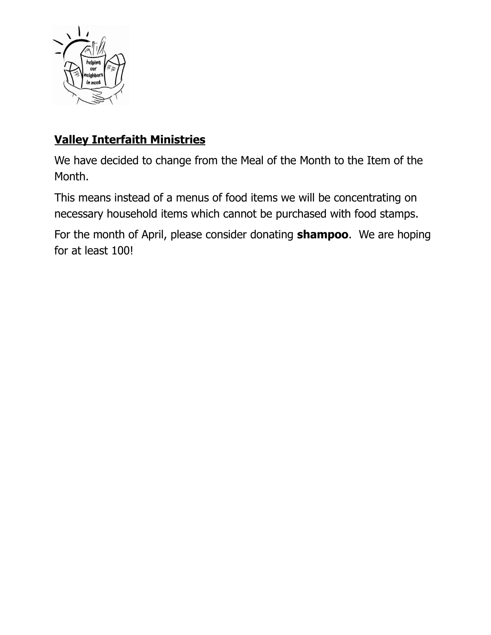

### **Valley Interfaith Ministries**

We have decided to change from the Meal of the Month to the Item of the Month.

This means instead of a menus of food items we will be concentrating on necessary household items which cannot be purchased with food stamps.

For the month of April, please consider donating **shampoo**. We are hoping for at least 100!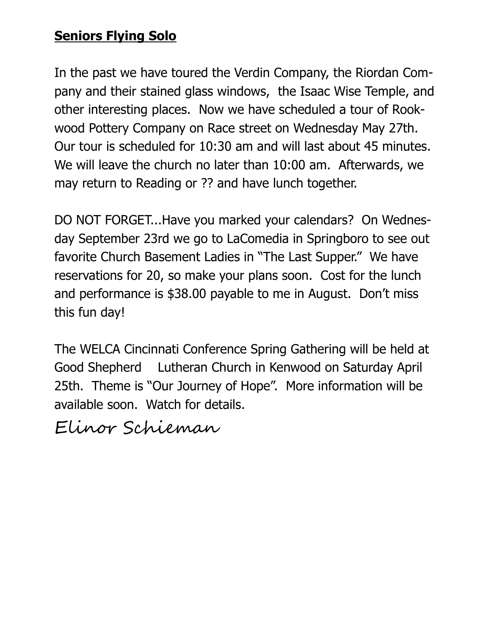## **Seniors Flying Solo**

In the past we have toured the Verdin Company, the Riordan Company and their stained glass windows, the Isaac Wise Temple, and other interesting places. Now we have scheduled a tour of Rookwood Pottery Company on Race street on Wednesday May 27th. Our tour is scheduled for 10:30 am and will last about 45 minutes. We will leave the church no later than 10:00 am. Afterwards, we may return to Reading or ?? and have lunch together.

DO NOT FORGET...Have you marked your calendars? On Wednesday September 23rd we go to LaComedia in Springboro to see out favorite Church Basement Ladies in "The Last Supper." We have reservations for 20, so make your plans soon. Cost for the lunch and performance is \$38.00 payable to me in August. Don't miss this fun day!

The WELCA Cincinnati Conference Spring Gathering will be held at Good Shepherd Lutheran Church in Kenwood on Saturday April 25th. Theme is "Our Journey of Hope". More information will be available soon. Watch for details.

Elinor Schieman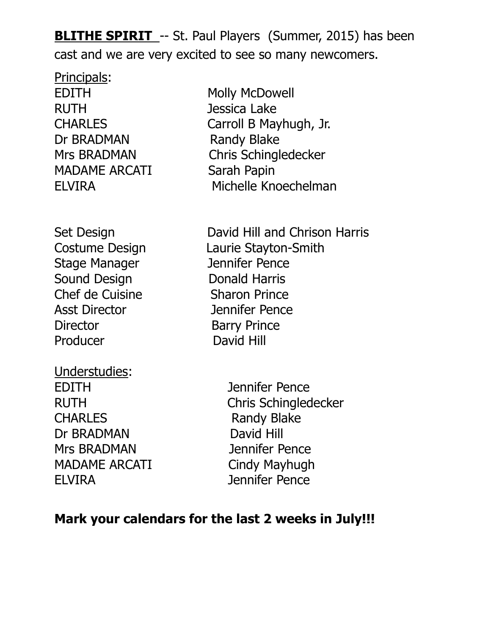**BLITHE SPIRIT** -- St. Paul Players (Summer, 2015) has been cast and we are very excited to see so many newcomers.

Principals: EDITH Molly McDowell RUTH Jessica Lake Dr BRADMAN Randy Blake MADAME ARCATI Sarah Papin

CHARLES Carroll B Mayhugh, Jr. Mrs BRADMAN Chris Schingledecker ELVIRA Michelle Knoechelman

Stage Manager Jennifer Pence Sound Design **Donald Harris** Chef de Cuisine Sharon Prince Asst Director Jennifer Pence Director **Barry Prince** Producer **David Hill** 

Understudies: EDITH Jennifer Pence CHARLES Randy Blake Dr BRADMAN David Hill Mrs BRADMAN Jennifer Pence MADAME ARCATI Cindy Mayhugh ELVIRA Jennifer Pence

Set Design **David Hill and Chrison Harris** Costume Design Laurie Stayton-Smith

RUTH Chris Schingledecker

### **Mark your calendars for the last 2 weeks in July!!!**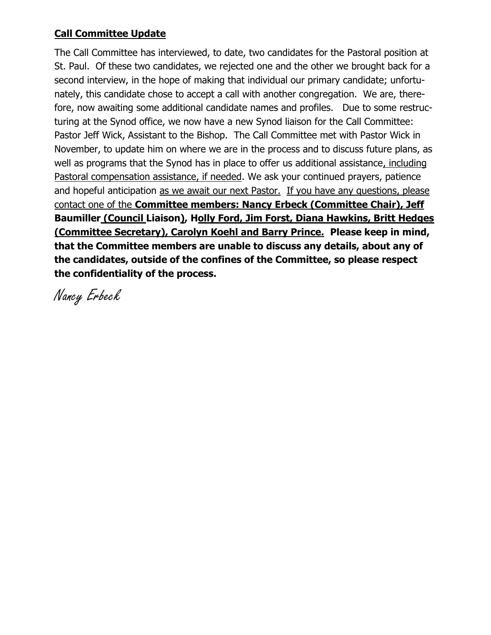#### **Call Committee Update**

The Call Committee has interviewed, to date, two candidates for the Pastoral position at St. Paul. Of these two candidates, we rejected one and the other we brought back for a second interview, in the hope of making that individual our primary candidate; unfortunately, this candidate chose to accept a call with another congregation. We are, therefore, now awaiting some additional candidate names and profiles. Due to some restructuring at the Synod office, we now have a new Synod liaison for the Call Committee: Pastor Jeff Wick, Assistant to the Bishop. The Call Committee met with Pastor Wick in November, to update him on where we are in the process and to discuss future plans, as well as programs that the Synod has in place to offer us additional assistance, including Pastoral compensation assistance, if needed. We ask your continued prayers, patience and hopeful anticipation as we await our next Pastor. If you have any questions, please contact one of the **Committee members: Nancy Erbeck (Committee Chair), Jeff Baumiller (Council Liaison), Holly Ford, Jim Forst, Diana Hawkins, Britt Hedges (Committee Secretary), Carolyn Koehl and Barry Prince. Please keep in mind, that the Committee members are unable to discuss any details, about any of the candidates, outside of the confines of the Committee, so please respect the confidentiality of the process.**

Nancy Erbeck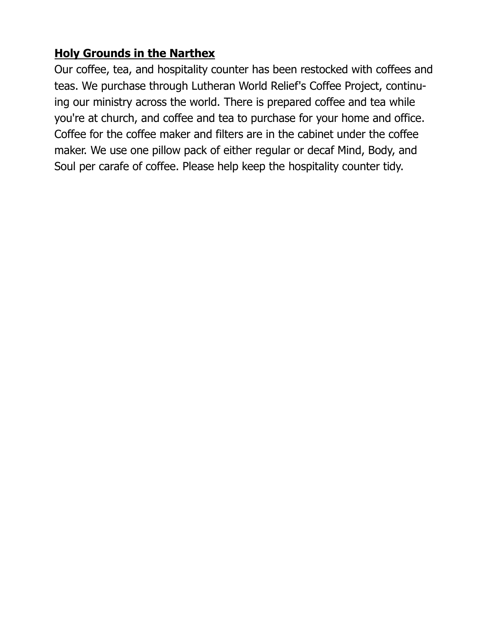### **Holy Grounds in the Narthex**

Our coffee, tea, and hospitality counter has been restocked with coffees and teas. We purchase through Lutheran World Relief's Coffee Project, continuing our ministry across the world. There is prepared coffee and tea while you're at church, and coffee and tea to purchase for your home and office. Coffee for the coffee maker and filters are in the cabinet under the coffee maker. We use one pillow pack of either regular or decaf Mind, Body, and Soul per carafe of coffee. Please help keep the hospitality counter tidy.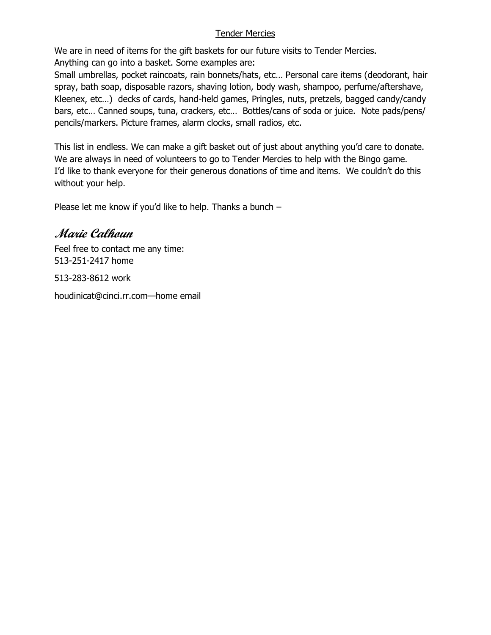#### Tender Mercies

We are in need of items for the gift baskets for our future visits to Tender Mercies. Anything can go into a basket. Some examples are:

Small umbrellas, pocket raincoats, rain bonnets/hats, etc… Personal care items (deodorant, hair spray, bath soap, disposable razors, shaving lotion, body wash, shampoo, perfume/aftershave, Kleenex, etc…) decks of cards, hand-held games, Pringles, nuts, pretzels, bagged candy/candy bars, etc… Canned soups, tuna, crackers, etc… Bottles/cans of soda or juice. Note pads/pens/ pencils/markers. Picture frames, alarm clocks, small radios, etc.

This list in endless. We can make a gift basket out of just about anything you'd care to donate. We are always in need of volunteers to go to Tender Mercies to help with the Bingo game. I'd like to thank everyone for their generous donations of time and items. We couldn't do this without your help.

Please let me know if you'd like to help. Thanks a bunch –

#### **Marie Calhoun**

Feel free to contact me any time: 513-251-2417 home

513-283-8612 work

houdinicat@cinci.rr.com—home email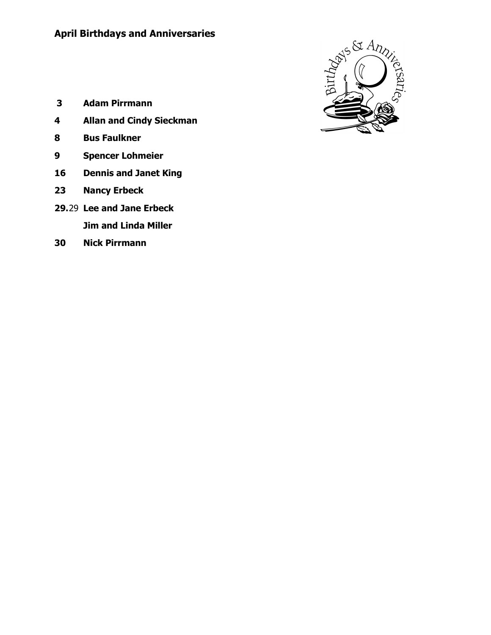

- **Adam Pirrmann**
- **Allan and Cindy Sieckman**
- **Bus Faulkner**
- **Spencer Lohmeier**
- **Dennis and Janet King**
- **Nancy Erbeck**
- **29.**29 **Lee and Jane Erbeck Jim and Linda Miller**
	-
- **Nick Pirrmann**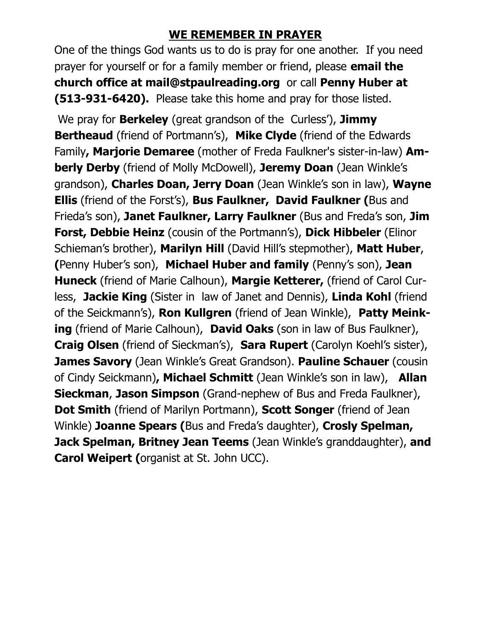### **WE REMEMBER IN PRAYER**

One of the things God wants us to do is pray for one another. If you need prayer for yourself or for a family member or friend, please **email the church office at mail@stpaulreading.org** or call **Penny Huber at (513-931-6420).** Please take this home and pray for those listed.

We pray for **Berkeley** (great grandson of the Curless'), **Jimmy Bertheaud** (friend of Portmann's), **Mike Clyde** (friend of the Edwards Family**, Marjorie Demaree** (mother of Freda Faulkner's sister-in-law) **Amberly Derby** (friend of Molly McDowell), **Jeremy Doan** (Jean Winkle's grandson), **Charles Doan, Jerry Doan** (Jean Winkle's son in law), **Wayne Ellis** (friend of the Forst's), **Bus Faulkner, David Faulkner (**Bus and Frieda's son), **Janet Faulkner, Larry Faulkner** (Bus and Freda's son, **Jim Forst, Debbie Heinz** (cousin of the Portmann's), **Dick Hibbeler** (Elinor Schieman's brother), **Marilyn Hill** (David Hill's stepmother), **Matt Huber**, **(**Penny Huber's son), **Michael Huber and family** (Penny's son), **Jean Huneck** (friend of Marie Calhoun), **Margie Ketterer,** (friend of Carol Curless, **Jackie King** (Sister in law of Janet and Dennis), **Linda Kohl** (friend of the Seickmann's), **Ron Kullgren** (friend of Jean Winkle), **Patty Meinking** (friend of Marie Calhoun), **David Oaks** (son in law of Bus Faulkner), **Craig Olsen** (friend of Sieckman's), **Sara Rupert** (Carolyn Koehl's sister), **James Savory** (Jean Winkle's Great Grandson). **Pauline Schauer** (cousin of Cindy Seickmann)**, Michael Schmitt** (Jean Winkle's son in law), **Allan Sieckman**, **Jason Simpson** (Grand-nephew of Bus and Freda Faulkner), **Dot Smith** (friend of Marilyn Portmann), **Scott Songer** (friend of Jean Winkle) **Joanne Spears (**Bus and Freda's daughter), **Crosly Spelman, Jack Spelman, Britney Jean Teems** (Jean Winkle's granddaughter), **and Carol Weipert (**organist at St. John UCC).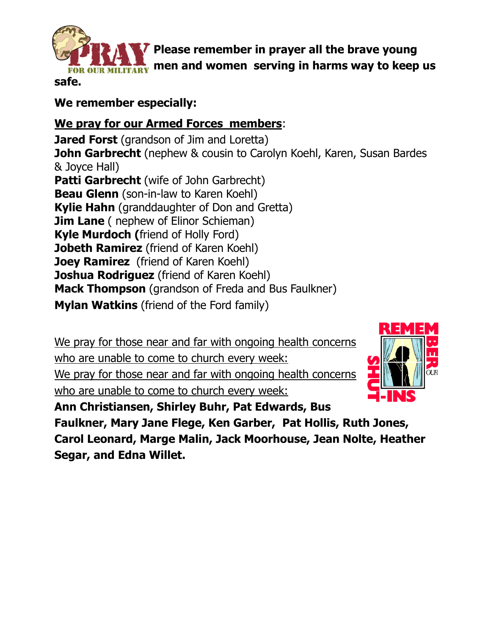

**Please remember in prayer all the brave young** 

**MEN AND MULTARY MEDIA and women serving in harms way to keep us safe.** 

### **We remember especially:**

### **We pray for our Armed Forces members**:

**Jared Forst** (grandson of Jim and Loretta) **John Garbrecht** (nephew & cousin to Carolyn Koehl, Karen, Susan Bardes & Joyce Hall) **Patti Garbrecht** (wife of John Garbrecht) **Beau Glenn** (son-in-law to Karen Koehl) **Kylie Hahn** (granddaughter of Don and Gretta) **Jim Lane** ( nephew of Elinor Schieman) **Kyle Murdoch (**friend of Holly Ford) **Jobeth Ramirez** (friend of Karen Koehl) **Joey Ramirez** (friend of Karen Koehl) **Joshua Rodriguez** (friend of Karen Koehl) **Mack Thompson** (grandson of Freda and Bus Faulkner) **Mylan Watkins** (friend of the Ford family)

We pray for those near and far with ongoing health concerns who are unable to come to church every week:

We pray for those near and far with ongoing health concerns who are unable to come to church every week:



**Ann Christiansen, Shirley Buhr, Pat Edwards, Bus Faulkner, Mary Jane Flege, Ken Garber, Pat Hollis, Ruth Jones, Carol Leonard, Marge Malin, Jack Moorhouse, Jean Nolte, Heather Segar, and Edna Willet.**